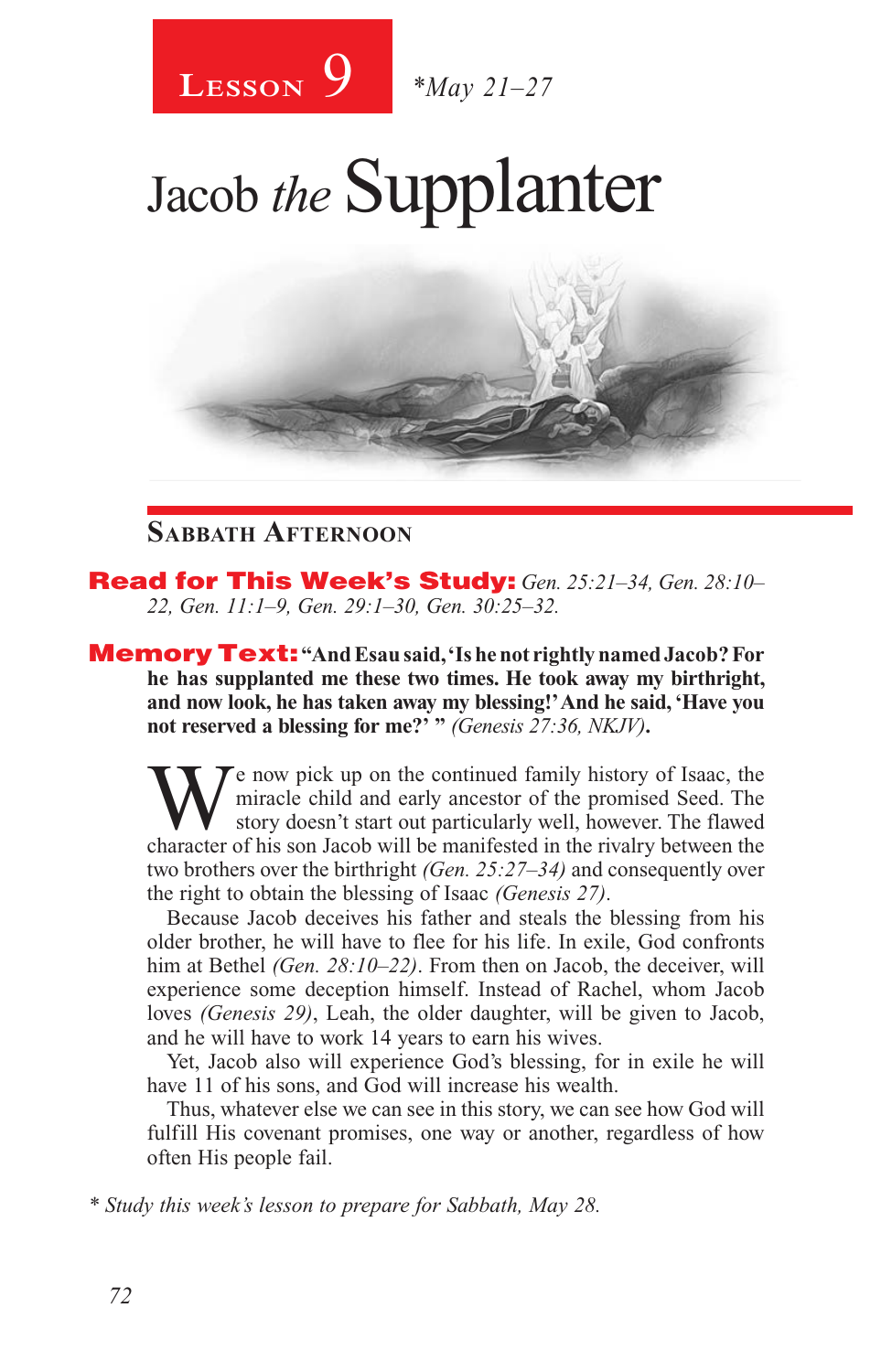

# Jacob *the* Supplanter

#### **Sabbath Afternoon**

Read for This Week's Study: *Gen. 25:21–34, Gen. 28:10– 22, Gen. 11:1–9, Gen. 29:1–30, Gen. 30:25–32.*

Memory Text: **"And Esau said, 'Is he not rightly named Jacob? For he has supplanted me these two times. He took away my birthright, and now look, he has taken away my blessing!' And he said, 'Have you not reserved a blessing for me?' "** *(Genesis 27:36, NKJV)***.**

We now pick up on the continued family history of Isaac, the miracle child and early ancestor of the promised Seed. The story doesn't start out particularly well, however. The flawed character of his son Jacob will be manifested in the rivalry between the two brothers over the birthright *(Gen. 25:27–34)* and consequently over the right to obtain the blessing of Isaac *(Genesis 27)*.

Because Jacob deceives his father and steals the blessing from his older brother, he will have to flee for his life. In exile, God confronts him at Bethel *(Gen. 28:10–22)*. From then on Jacob, the deceiver, will experience some deception himself. Instead of Rachel, whom Jacob loves *(Genesis 29)*, Leah, the older daughter, will be given to Jacob, and he will have to work 14 years to earn his wives.

Yet, Jacob also will experience God's blessing, for in exile he will have 11 of his sons, and God will increase his wealth.

Thus, whatever else we can see in this story, we can see how God will fulfill His covenant promises, one way or another, regardless of how often His people fail.

*\* Study this week's lesson to prepare for Sabbath, May 28.*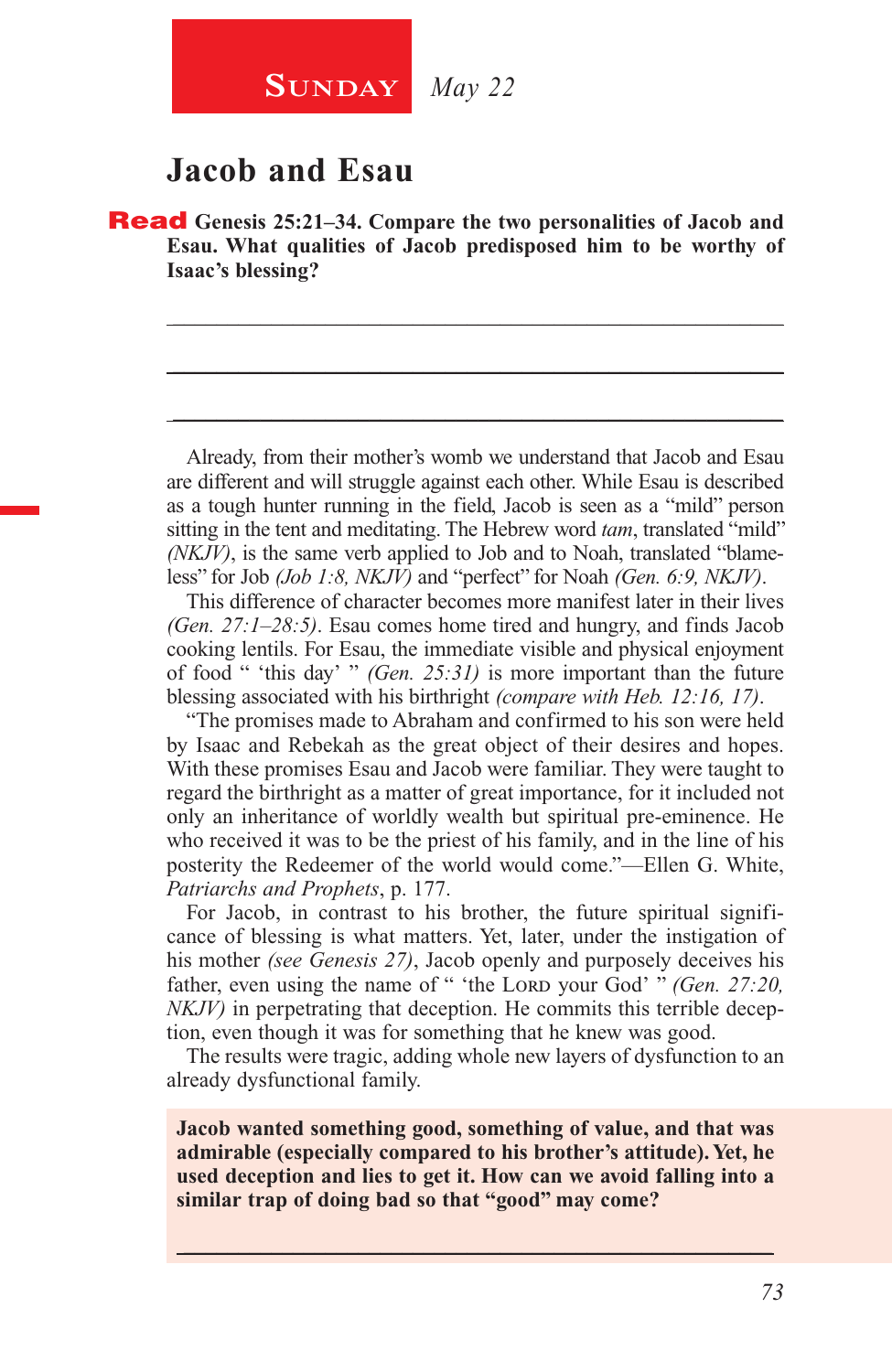#### **Jacob and Esau**

Read **Genesis 25:21–34. Compare the two personalities of Jacob and Esau. What qualities of Jacob predisposed him to be worthy of Isaac's blessing?**

\_\_\_\_\_\_\_\_\_\_\_\_\_\_\_\_\_\_\_\_\_\_\_\_\_\_\_\_\_\_\_\_\_\_\_\_\_\_\_\_\_\_\_\_\_\_\_\_\_\_\_\_\_\_\_\_

\_\_\_\_\_\_\_\_\_\_\_\_\_\_\_\_\_\_\_\_\_\_\_\_\_\_\_\_\_\_\_\_\_\_\_\_\_\_\_\_\_\_\_\_\_\_\_\_\_\_\_\_\_\_\_\_

\_\_\_\_\_\_\_\_\_\_\_\_\_\_\_\_\_\_\_\_\_\_\_\_\_\_\_\_\_\_\_\_\_\_\_\_\_\_\_\_\_\_\_\_\_\_\_\_\_\_\_\_\_\_\_\_

Already, from their mother's womb we understand that Jacob and Esau are different and will struggle against each other. While Esau is described as a tough hunter running in the field, Jacob is seen as a "mild" person sitting in the tent and meditating. The Hebrew word *tam*, translated "mild" *(NKJV)*, is the same verb applied to Job and to Noah, translated "blameless" for Job *(Job 1:8, NKJV)* and "perfect" for Noah *(Gen. 6:9, NKJV)*.

This difference of character becomes more manifest later in their lives *(Gen. 27:1–28:5)*. Esau comes home tired and hungry, and finds Jacob cooking lentils. For Esau, the immediate visible and physical enjoyment of food " 'this day' " *(Gen. 25:31)* is more important than the future blessing associated with his birthright *(compare with Heb. 12:16, 17)*.

"The promises made to Abraham and confirmed to his son were held by Isaac and Rebekah as the great object of their desires and hopes. With these promises Esau and Jacob were familiar. They were taught to regard the birthright as a matter of great importance, for it included not only an inheritance of worldly wealth but spiritual pre-eminence. He who received it was to be the priest of his family, and in the line of his posterity the Redeemer of the world would come."—Ellen G. White, *Patriarchs and Prophets*, p. 177.

For Jacob, in contrast to his brother, the future spiritual significance of blessing is what matters. Yet, later, under the instigation of his mother *(see Genesis 27)*, Jacob openly and purposely deceives his father, even using the name of " 'the Lord your God' " *(Gen. 27:20, NKJV)* in perpetrating that deception. He commits this terrible deception, even though it was for something that he knew was good.

The results were tragic, adding whole new layers of dysfunction to an already dysfunctional family.

**Jacob wanted something good, something of value, and that was admirable (especially compared to his brother's attitude). Yet, he used deception and lies to get it. How can we avoid falling into a similar trap of doing bad so that "good" may come?**

 $\_$  , and the set of the set of the set of the set of the set of the set of the set of the set of the set of the set of the set of the set of the set of the set of the set of the set of the set of the set of the set of th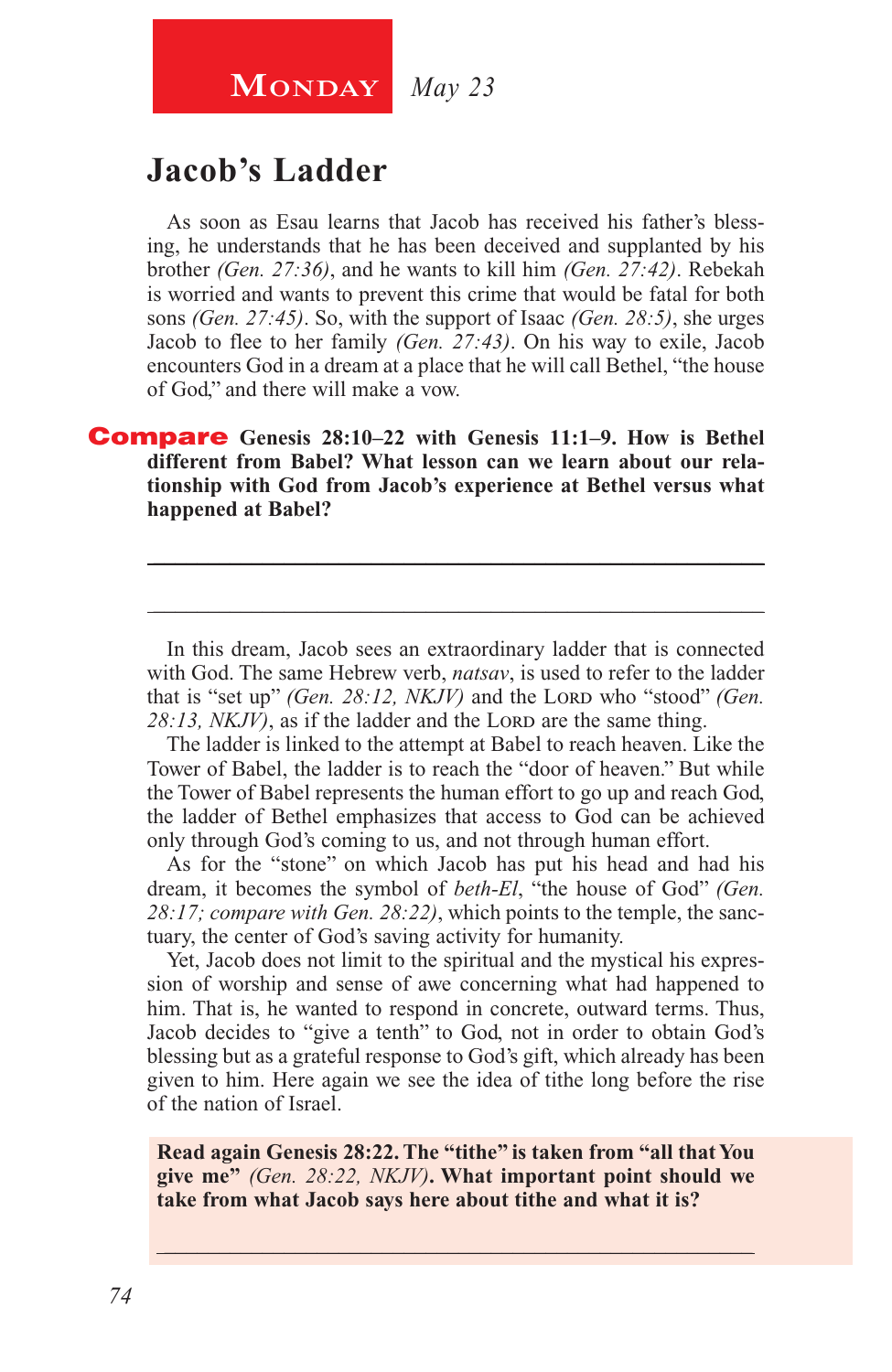# **MONDAY** *May 23*

### **Jacob's Ladder**

As soon as Esau learns that Jacob has received his father's blessing, he understands that he has been deceived and supplanted by his brother *(Gen. 27:36)*, and he wants to kill him *(Gen. 27:42)*. Rebekah is worried and wants to prevent this crime that would be fatal for both sons *(Gen. 27:45)*. So, with the support of Isaac *(Gen. 28:5)*, she urges Jacob to flee to her family *(Gen. 27:43)*. On his way to exile, Jacob encounters God in a dream at a place that he will call Bethel, "the house of God," and there will make a vow.

#### Compare **Genesis 28:10–22 with Genesis 11:1–9. How is Bethel different from Babel? What lesson can we learn about our relationship with God from Jacob's experience at Bethel versus what happened at Babel?**

In this dream, Jacob sees an extraordinary ladder that is connected with God. The same Hebrew verb, *natsav*, is used to refer to the ladder that is "set up" *(Gen. 28:12, NKJV)* and the Loro who "stood" *(Gen.* 28:13, *NKJV*), as if the ladder and the LORD are the same thing.

\_\_\_\_\_\_\_\_\_\_\_\_\_\_\_\_\_\_\_\_\_\_\_\_\_\_\_\_\_\_\_\_\_\_\_\_\_\_\_\_\_\_\_\_\_\_\_\_\_\_\_\_\_\_\_\_

\_\_\_\_\_\_\_\_\_\_\_\_\_\_\_\_\_\_\_\_\_\_\_\_\_\_\_\_\_\_\_\_\_\_\_\_\_\_\_\_\_\_\_\_\_\_\_\_\_\_\_\_\_\_\_\_

The ladder is linked to the attempt at Babel to reach heaven. Like the Tower of Babel, the ladder is to reach the "door of heaven." But while the Tower of Babel represents the human effort to go up and reach God, the ladder of Bethel emphasizes that access to God can be achieved only through God's coming to us, and not through human effort.

As for the "stone" on which Jacob has put his head and had his dream, it becomes the symbol of *beth-El*, "the house of God" *(Gen. 28:17; compare with Gen. 28:22)*, which points to the temple, the sanctuary, the center of God's saving activity for humanity.

Yet, Jacob does not limit to the spiritual and the mystical his expression of worship and sense of awe concerning what had happened to him. That is, he wanted to respond in concrete, outward terms. Thus, Jacob decides to "give a tenth" to God, not in order to obtain God's blessing but as a grateful response to God's gift, which already has been given to him. Here again we see the idea of tithe long before the rise of the nation of Israel.

**Read again Genesis 28:22. The "tithe" is taken from "all that You give me"** *(Gen. 28:22, NKJV)***. What important point should we take from what Jacob says here about tithe and what it is?**

\_\_\_\_\_\_\_\_\_\_\_\_\_\_\_\_\_\_\_\_\_\_\_\_\_\_\_\_\_\_\_\_\_\_\_\_\_\_\_\_\_\_\_\_\_\_\_\_\_\_\_\_\_\_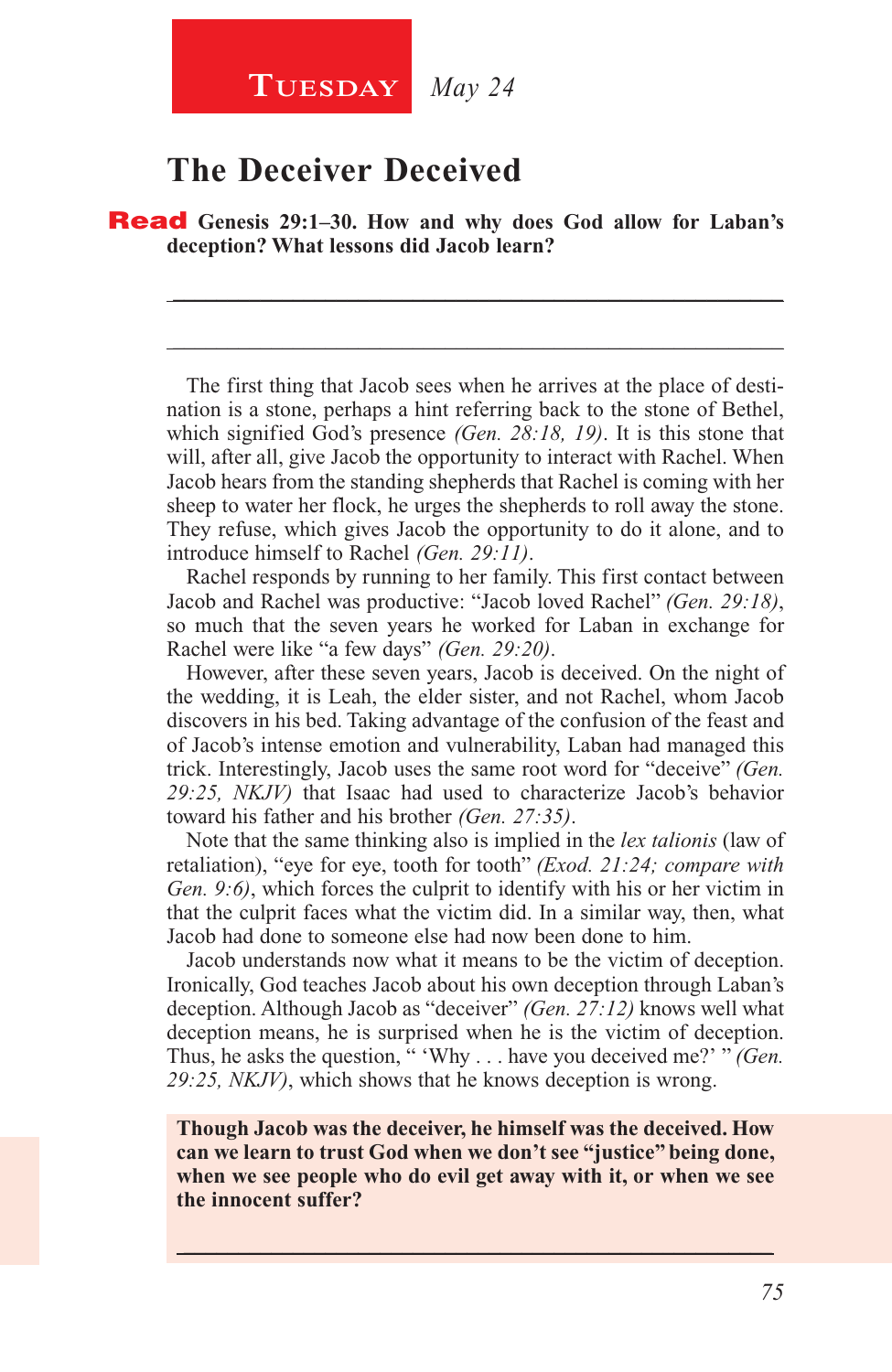#### **Tuesday** *May 24*

### **The Deceiver Deceived**

Read **Genesis 29:1–30. How and why does God allow for Laban's deception? What lessons did Jacob learn?**

The first thing that Jacob sees when he arrives at the place of destination is a stone, perhaps a hint referring back to the stone of Bethel, which signified God's presence *(Gen. 28:18, 19)*. It is this stone that will, after all, give Jacob the opportunity to interact with Rachel. When Jacob hears from the standing shepherds that Rachel is coming with her sheep to water her flock, he urges the shepherds to roll away the stone. They refuse, which gives Jacob the opportunity to do it alone, and to introduce himself to Rachel *(Gen. 29:11)*.

\_\_\_\_\_\_\_\_\_\_\_\_\_\_\_\_\_\_\_\_\_\_\_\_\_\_\_\_\_\_\_\_\_\_\_\_\_\_\_\_\_\_\_\_\_\_\_\_\_\_\_\_\_\_\_\_

\_\_\_\_\_\_\_\_\_\_\_\_\_\_\_\_\_\_\_\_\_\_\_\_\_\_\_\_\_\_\_\_\_\_\_\_\_\_\_\_\_\_\_\_\_\_\_\_\_\_\_\_\_\_\_\_

Rachel responds by running to her family. This first contact between Jacob and Rachel was productive: "Jacob loved Rachel" *(Gen. 29:18)*, so much that the seven years he worked for Laban in exchange for Rachel were like "a few days" *(Gen. 29:20)*.

However, after these seven years, Jacob is deceived. On the night of the wedding, it is Leah, the elder sister, and not Rachel, whom Jacob discovers in his bed. Taking advantage of the confusion of the feast and of Jacob's intense emotion and vulnerability, Laban had managed this trick. Interestingly, Jacob uses the same root word for "deceive" *(Gen. 29:25, NKJV)* that Isaac had used to characterize Jacob's behavior toward his father and his brother *(Gen. 27:35)*.

Note that the same thinking also is implied in the *lex talionis* (law of retaliation), "eye for eye, tooth for tooth" *(Exod. 21:24; compare with Gen. 9:6)*, which forces the culprit to identify with his or her victim in that the culprit faces what the victim did. In a similar way, then, what Jacob had done to someone else had now been done to him.

Jacob understands now what it means to be the victim of deception. Ironically, God teaches Jacob about his own deception through Laban's deception. Although Jacob as "deceiver" *(Gen. 27:12)* knows well what deception means, he is surprised when he is the victim of deception. Thus, he asks the question, " 'Why . . . have you deceived me?' " *(Gen. 29:25, NKJV)*, which shows that he knows deception is wrong.

**Though Jacob was the deceiver, he himself was the deceived. How can we learn to trust God when we don't see "justice" being done, when we see people who do evil get away with it, or when we see the innocent suffer?**

 $\_$  , and the set of the set of the set of the set of the set of the set of the set of the set of the set of the set of the set of the set of the set of the set of the set of the set of the set of the set of the set of th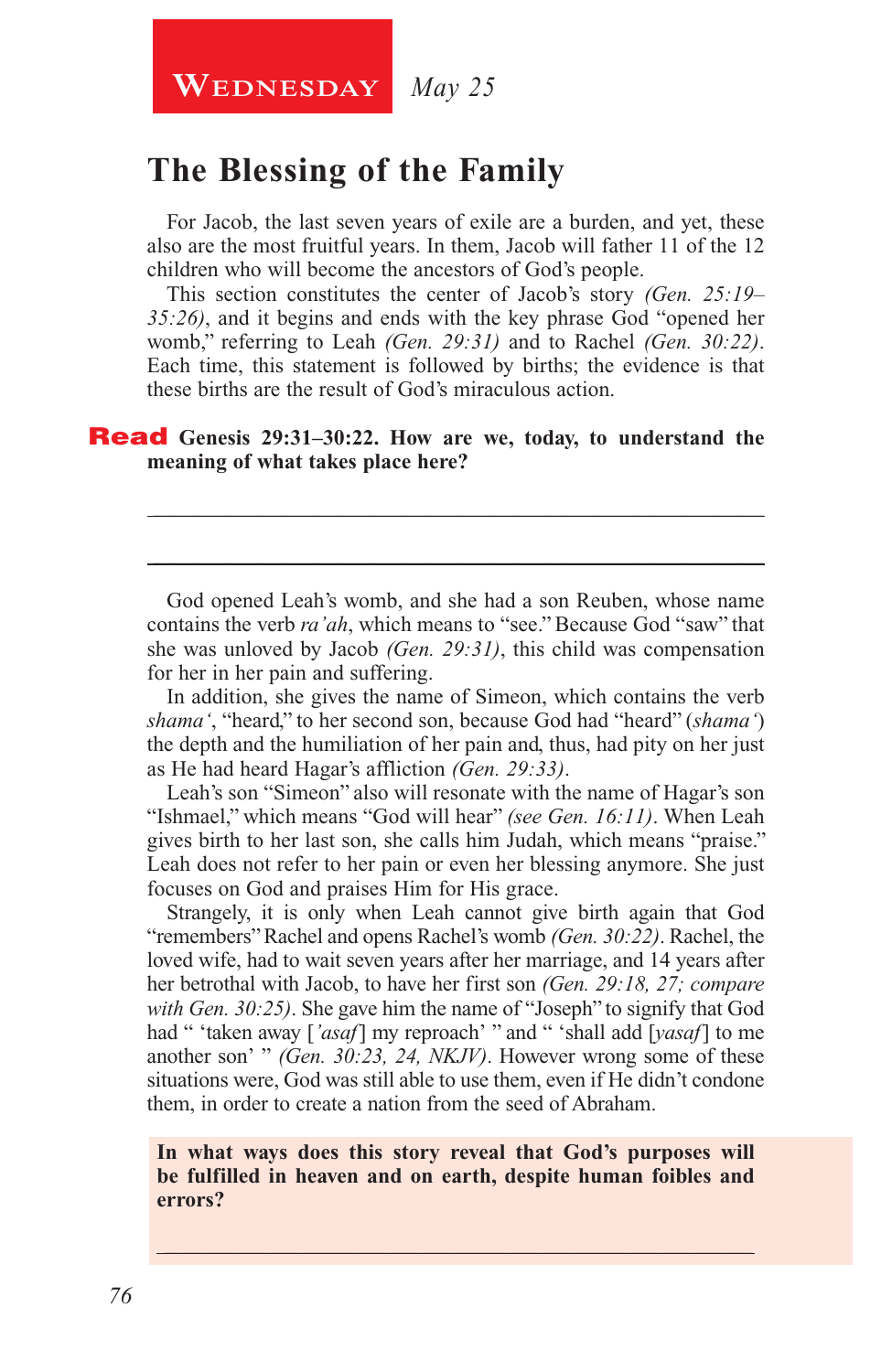**WEDNESDAY** May 25

# **The Blessing of the Family**

For Jacob, the last seven years of exile are a burden, and yet, these also are the most fruitful years. In them, Jacob will father 11 of the 12 children who will become the ancestors of God's people.

This section constitutes the center of Jacob's story *(Gen. 25:19– 35:26)*, and it begins and ends with the key phrase God "opened her womb," referring to Leah *(Gen. 29:31)* and to Rachel *(Gen. 30:22)*. Each time, this statement is followed by births; the evidence is that these births are the result of God's miraculous action.

#### Read **Genesis 29:31–30:22. How are we, today, to understand the meaning of what takes place here?**

God opened Leah's womb, and she had a son Reuben, whose name contains the verb *ra'ah*, which means to "see." Because God "saw" that she was unloved by Jacob *(Gen. 29:31)*, this child was compensation for her in her pain and suffering.

\_\_\_\_\_\_\_\_\_\_\_\_\_\_\_\_\_\_\_\_\_\_\_\_\_\_\_\_\_\_\_\_\_\_\_\_\_\_\_\_\_\_\_\_\_\_\_\_\_\_\_\_\_\_\_\_

\_\_\_\_\_\_\_\_\_\_\_\_\_\_\_\_\_\_\_\_\_\_\_\_\_\_\_\_\_\_\_\_\_\_\_\_\_\_\_\_\_\_\_\_\_\_\_\_\_\_\_\_\_\_\_\_

In addition, she gives the name of Simeon, which contains the verb *shama'*, "heard," to her second son, because God had "heard" (*shama'*) the depth and the humiliation of her pain and, thus, had pity on her just as He had heard Hagar's affliction *(Gen. 29:33)*.

Leah's son "Simeon" also will resonate with the name of Hagar's son "Ishmael," which means "God will hear" *(see Gen. 16:11)*. When Leah gives birth to her last son, she calls him Judah, which means "praise." Leah does not refer to her pain or even her blessing anymore. She just focuses on God and praises Him for His grace.

Strangely, it is only when Leah cannot give birth again that God "remembers" Rachel and opens Rachel's womb *(Gen. 30:22)*. Rachel, the loved wife, had to wait seven years after her marriage, and 14 years after her betrothal with Jacob, to have her first son *(Gen. 29:18, 27; compare with Gen. 30:25)*. She gave him the name of "Joseph" to signify that God had " 'taken away [*'asaf*] my reproach' " and " 'shall add [*yasaf*] to me another son' " *(Gen. 30:23, 24, NKJV)*. However wrong some of these situations were, God was still able to use them, even if He didn't condone them, in order to create a nation from the seed of Abraham.

**In what ways does this story reveal that God's purposes will be fulfilled in heaven and on earth, despite human foibles and errors?**

\_\_\_\_\_\_\_\_\_\_\_\_\_\_\_\_\_\_\_\_\_\_\_\_\_\_\_\_\_\_\_\_\_\_\_\_\_\_\_\_\_\_\_\_\_\_\_\_\_\_\_\_\_\_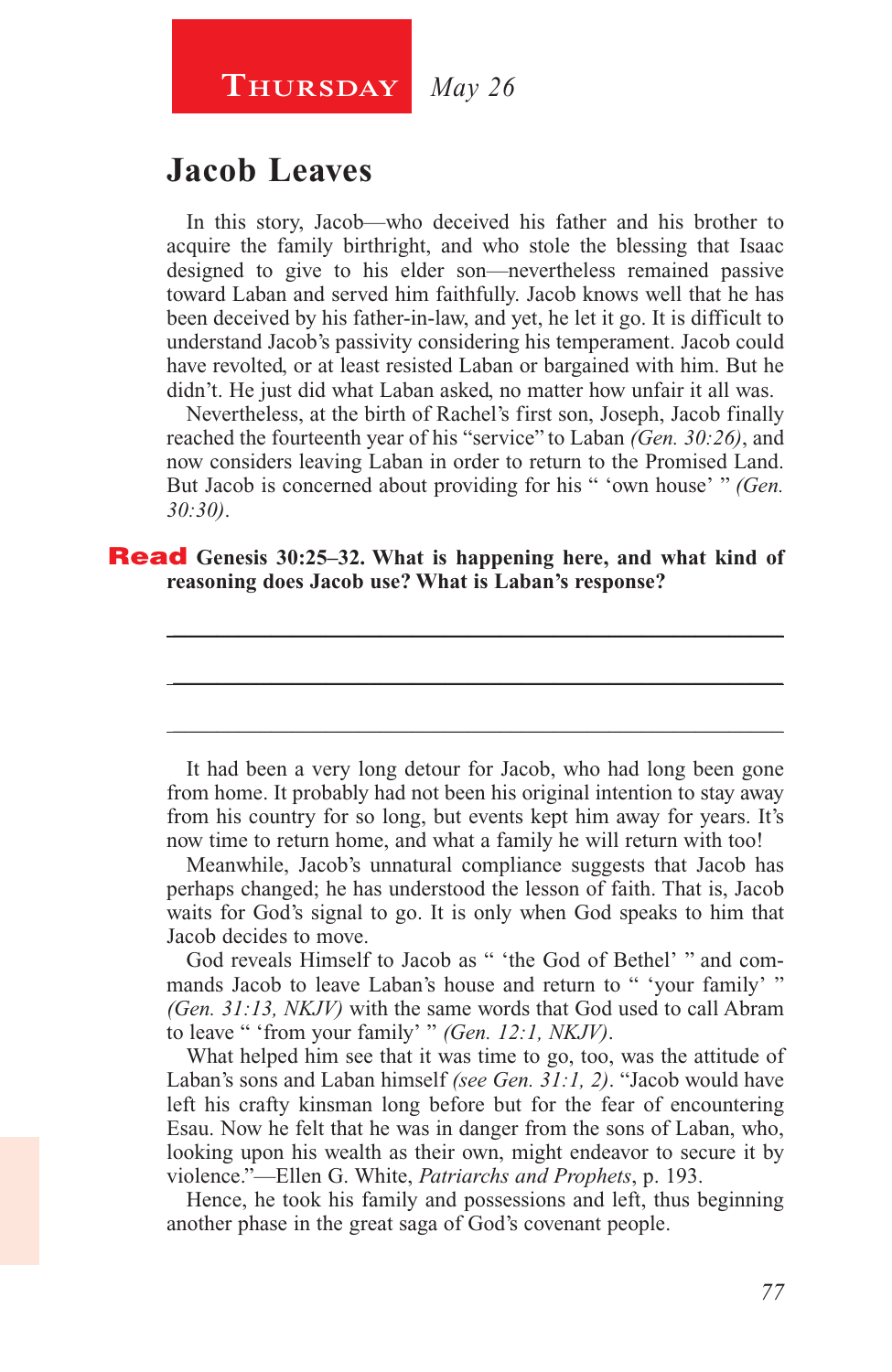#### **Thursday** *May 26*

#### **Jacob Leaves**

In this story, Jacob—who deceived his father and his brother to acquire the family birthright, and who stole the blessing that Isaac designed to give to his elder son—nevertheless remained passive toward Laban and served him faithfully. Jacob knows well that he has been deceived by his father-in-law, and yet, he let it go. It is difficult to understand Jacob's passivity considering his temperament. Jacob could have revolted, or at least resisted Laban or bargained with him. But he didn't. He just did what Laban asked, no matter how unfair it all was.

Nevertheless, at the birth of Rachel's first son, Joseph, Jacob finally reached the fourteenth year of his "service" to Laban *(Gen. 30:26)*, and now considers leaving Laban in order to return to the Promised Land. But Jacob is concerned about providing for his " 'own house' " *(Gen. 30:30)*.

\_\_\_\_\_\_\_\_\_\_\_\_\_\_\_\_\_\_\_\_\_\_\_\_\_\_\_\_\_\_\_\_\_\_\_\_\_\_\_\_\_\_\_\_\_\_\_\_\_\_\_\_\_\_\_\_

\_\_\_\_\_\_\_\_\_\_\_\_\_\_\_\_\_\_\_\_\_\_\_\_\_\_\_\_\_\_\_\_\_\_\_\_\_\_\_\_\_\_\_\_\_\_\_\_\_\_\_\_\_\_\_\_

\_\_\_\_\_\_\_\_\_\_\_\_\_\_\_\_\_\_\_\_\_\_\_\_\_\_\_\_\_\_\_\_\_\_\_\_\_\_\_\_\_\_\_\_\_\_\_\_\_\_\_\_\_\_\_\_

#### Read **Genesis 30:25–32. What is happening here, and what kind of reasoning does Jacob use? What is Laban's response?**

It had been a very long detour for Jacob, who had long been gone from home. It probably had not been his original intention to stay away from his country for so long, but events kept him away for years. It's now time to return home, and what a family he will return with too!

Meanwhile, Jacob's unnatural compliance suggests that Jacob has perhaps changed; he has understood the lesson of faith. That is, Jacob waits for God's signal to go. It is only when God speaks to him that Jacob decides to move.

God reveals Himself to Jacob as " 'the God of Bethel' " and commands Jacob to leave Laban's house and return to " 'your family' " *(Gen. 31:13, NKJV)* with the same words that God used to call Abram to leave " 'from your family' " *(Gen. 12:1, NKJV)*.

What helped him see that it was time to go, too, was the attitude of Laban's sons and Laban himself *(see Gen. 31:1, 2)*. "Jacob would have left his crafty kinsman long before but for the fear of encountering Esau. Now he felt that he was in danger from the sons of Laban, who, looking upon his wealth as their own, might endeavor to secure it by violence."—Ellen G. White, *Patriarchs and Prophets*, p. 193.

Hence, he took his family and possessions and left, thus beginning another phase in the great saga of God's covenant people.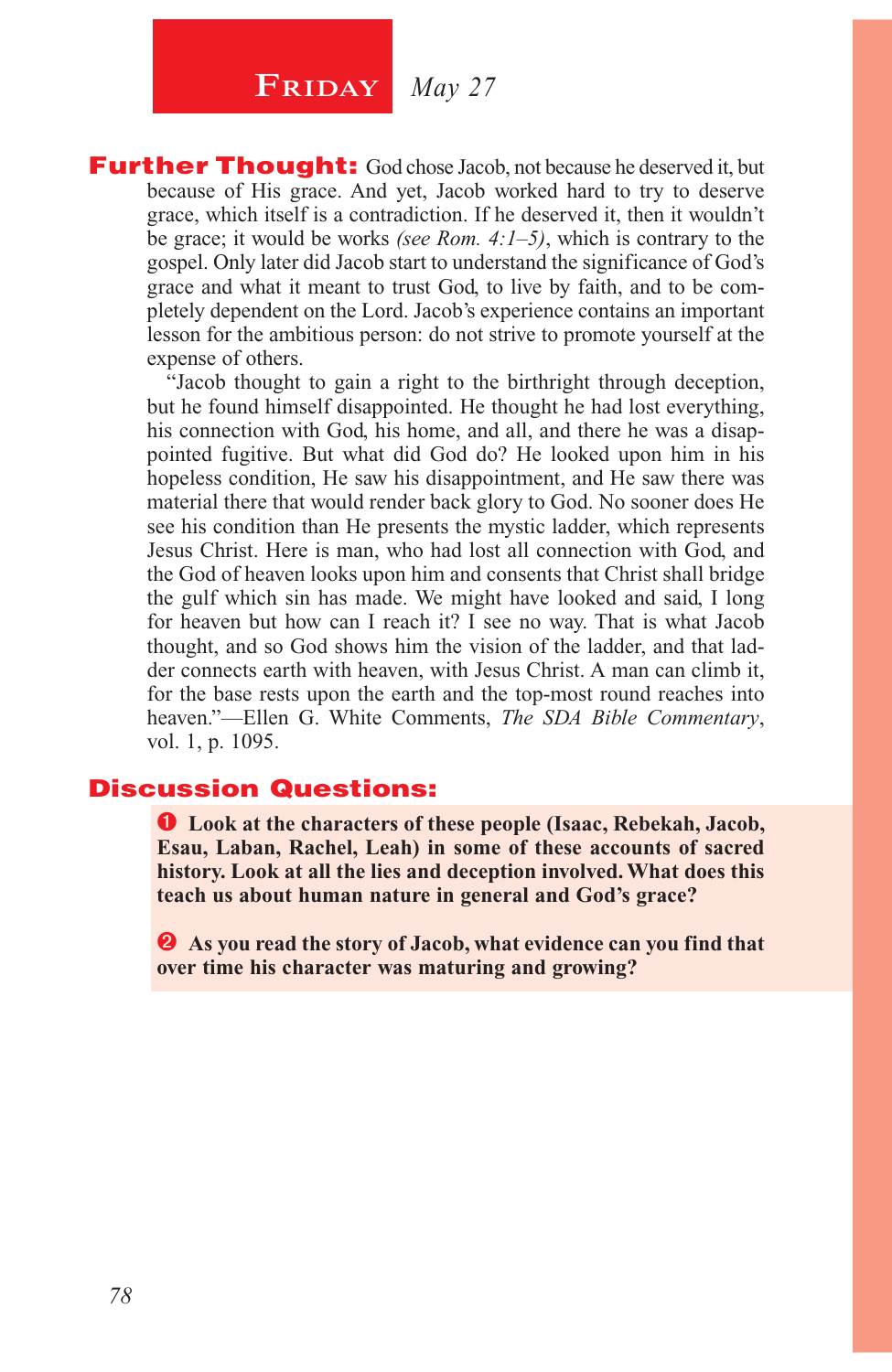# **FRIDAY** *May 27*

**Further Thought:** God chose Jacob, not because he deserved it, but because of His grace. And yet, Jacob worked hard to try to deserve grace, which itself is a contradiction. If he deserved it, then it wouldn't be grace; it would be works *(see Rom. 4:1–5)*, which is contrary to the gospel. Only later did Jacob start to understand the significance of God's grace and what it meant to trust God, to live by faith, and to be completely dependent on the Lord. Jacob's experience contains an important lesson for the ambitious person: do not strive to promote yourself at the expense of others.

"Jacob thought to gain a right to the birthright through deception, but he found himself disappointed. He thought he had lost everything, his connection with God, his home, and all, and there he was a disappointed fugitive. But what did God do? He looked upon him in his hopeless condition, He saw his disappointment, and He saw there was material there that would render back glory to God. No sooner does He see his condition than He presents the mystic ladder, which represents Jesus Christ. Here is man, who had lost all connection with God, and the God of heaven looks upon him and consents that Christ shall bridge the gulf which sin has made. We might have looked and said, I long for heaven but how can I reach it? I see no way. That is what Jacob thought, and so God shows him the vision of the ladder, and that ladder connects earth with heaven, with Jesus Christ. A man can climb it, for the base rests upon the earth and the top-most round reaches into heaven."—Ellen G. White Comments, *The SDA Bible Commentary*, vol. 1, p. 1095.

#### Discussion Questions:

 **Look at the characters of these people (Isaac, Rebekah, Jacob, Esau, Laban, Rachel, Leah) in some of these accounts of sacred history. Look at all the lies and deception involved. What does this teach us about human nature in general and God's grace?**

 **As you read the story of Jacob, what evidence can you find that over time his character was maturing and growing?**